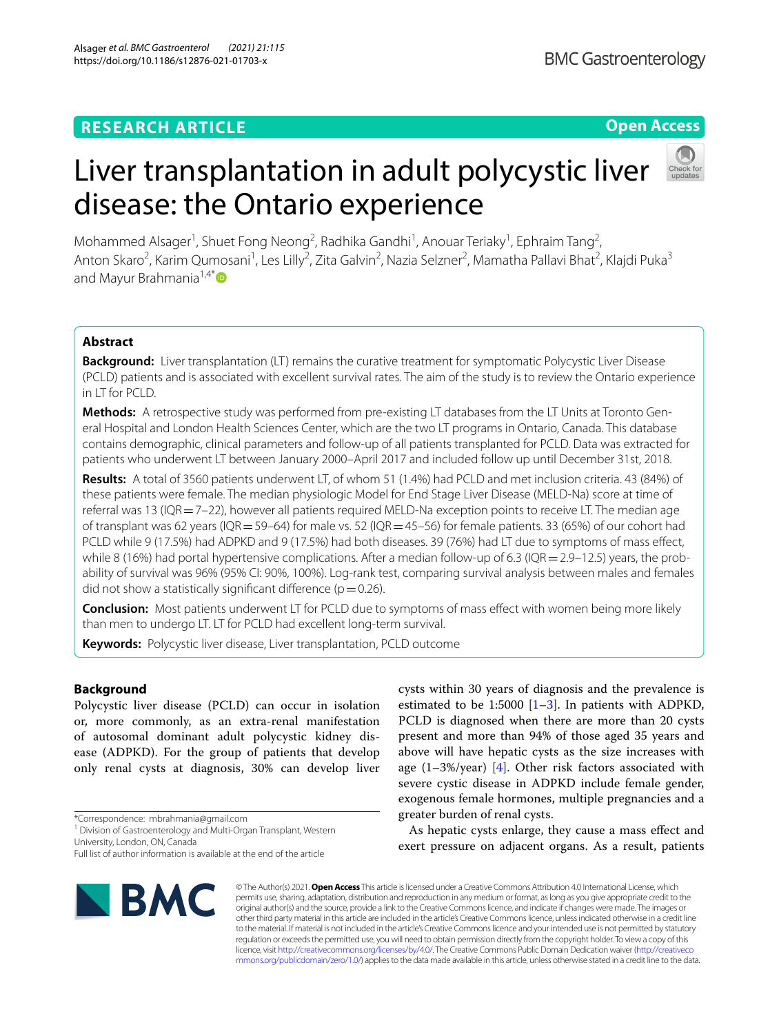## **RESEARCH ARTICLE**

**BMC Gastroenterology** 

## **Open Access**

# Liver transplantation in adult polycystic liver disease: the Ontario experience

Mohammed Alsager<sup>1</sup>, Shuet Fong Neong<sup>2</sup>, Radhika Gandhi<sup>1</sup>, Anouar Teriaky<sup>1</sup>, Ephraim Tang<sup>2</sup>, Anton Skaro<sup>2</sup>, Karim Qumosani<sup>1</sup>, Les Lilly<sup>2</sup>, Zita Galvin<sup>2</sup>, Nazia Selzner<sup>2</sup>, Mamatha Pallavi Bhat<sup>2</sup>, Klajdi Puka<sup>3</sup> and Mayur Brahmania<sup>1,4[\\*](http://orcid.org/0000-0002-4671-1479)</sup>

## **Abstract**

**Background:** Liver transplantation (LT) remains the curative treatment for symptomatic Polycystic Liver Disease (PCLD) patients and is associated with excellent survival rates. The aim of the study is to review the Ontario experience in LT for PCLD.

**Methods:** A retrospective study was performed from pre-existing LT databases from the LT Units at Toronto General Hospital and London Health Sciences Center, which are the two LT programs in Ontario, Canada. This database contains demographic, clinical parameters and follow-up of all patients transplanted for PCLD. Data was extracted for patients who underwent LT between January 2000–April 2017 and included follow up until December 31st, 2018.

**Results:** A total of 3560 patients underwent LT, of whom 51 (1.4%) had PCLD and met inclusion criteria. 43 (84%) of these patients were female. The median physiologic Model for End Stage Liver Disease (MELD-Na) score at time of referral was 13 (IQR  $=$  7–22), however all patients required MELD-Na exception points to receive LT. The median age of transplant was 62 years (IQR=59–64) for male vs. 52 (IQR=45–56) for female patients. 33 (65%) of our cohort had PCLD while 9 (17.5%) had ADPKD and 9 (17.5%) had both diseases. 39 (76%) had LT due to symptoms of mass efect, while 8 (16%) had portal hypertensive complications. After a median follow-up of 6.3 (IQR = 2.9–12.5) years, the probability of survival was 96% (95% CI: 90%, 100%). Log-rank test, comparing survival analysis between males and females did not show a statistically significant difference ( $p=0.26$ ).

**Conclusion:** Most patients underwent LT for PCLD due to symptoms of mass efect with women being more likely than men to undergo LT. LT for PCLD had excellent long-term survival.

**Keywords:** Polycystic liver disease, Liver transplantation, PCLD outcome

## **Background**

Polycystic liver disease (PCLD) can occur in isolation or, more commonly, as an extra-renal manifestation of autosomal dominant adult polycystic kidney disease (ADPKD). For the group of patients that develop only renal cysts at diagnosis, 30% can develop liver

\*Correspondence: mbrahmania@gmail.com

<sup>1</sup> Division of Gastroenterology and Multi-Organ Transplant, Western University, London, ON, Canada

Full list of author information is available at the end of the article



cysts within 30 years of diagnosis and the prevalence is estimated to be 1:5000  $[1-3]$  $[1-3]$ . In patients with ADPKD, PCLD is diagnosed when there are more than 20 cysts present and more than 94% of those aged 35 years and above will have hepatic cysts as the size increases with age  $(1-3\%/year)$  [[4\]](#page-5-2). Other risk factors associated with severe cystic disease in ADPKD include female gender, exogenous female hormones, multiple pregnancies and a greater burden of renal cysts.

As hepatic cysts enlarge, they cause a mass efect and exert pressure on adjacent organs. As a result, patients

© The Author(s) 2021. **Open Access** This article is licensed under a Creative Commons Attribution 4.0 International License, which permits use, sharing, adaptation, distribution and reproduction in any medium or format, as long as you give appropriate credit to the original author(s) and the source, provide a link to the Creative Commons licence, and indicate if changes were made. The images or other third party material in this article are included in the article's Creative Commons licence, unless indicated otherwise in a credit line to the material. If material is not included in the article's Creative Commons licence and your intended use is not permitted by statutory regulation or exceeds the permitted use, you will need to obtain permission directly from the copyright holder. To view a copy of this licence, visit [http://creativecommons.org/licenses/by/4.0/.](http://creativecommons.org/licenses/by/4.0/) The Creative Commons Public Domain Dedication waiver ([http://creativeco](http://creativecommons.org/publicdomain/zero/1.0/) [mmons.org/publicdomain/zero/1.0/](http://creativecommons.org/publicdomain/zero/1.0/)) applies to the data made available in this article, unless otherwise stated in a credit line to the data.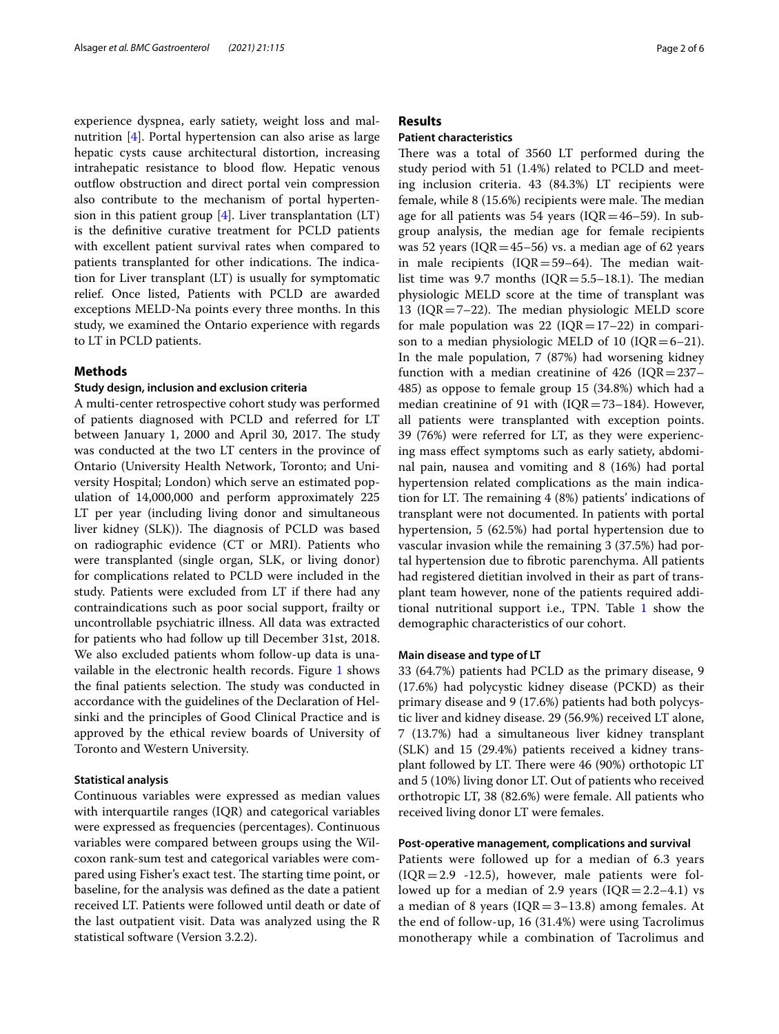experience dyspnea, early satiety, weight loss and malnutrition [\[4](#page-5-2)]. Portal hypertension can also arise as large hepatic cysts cause architectural distortion, increasing intrahepatic resistance to blood flow. Hepatic venous outflow obstruction and direct portal vein compression also contribute to the mechanism of portal hypertension in this patient group  $[4]$  $[4]$ . Liver transplantation  $(LT)$ is the defnitive curative treatment for PCLD patients with excellent patient survival rates when compared to patients transplanted for other indications. The indication for Liver transplant (LT) is usually for symptomatic relief. Once listed, Patients with PCLD are awarded exceptions MELD-Na points every three months. In this study, we examined the Ontario experience with regards to LT in PCLD patients.

#### **Methods**

#### **Study design, inclusion and exclusion criteria**

A multi-center retrospective cohort study was performed of patients diagnosed with PCLD and referred for LT between January 1, 2000 and April 30, 2017. The study was conducted at the two LT centers in the province of Ontario (University Health Network, Toronto; and University Hospital; London) which serve an estimated population of 14,000,000 and perform approximately 225 LT per year (including living donor and simultaneous liver kidney (SLK)). The diagnosis of PCLD was based on radiographic evidence (CT or MRI). Patients who were transplanted (single organ, SLK, or living donor) for complications related to PCLD were included in the study. Patients were excluded from LT if there had any contraindications such as poor social support, frailty or uncontrollable psychiatric illness. All data was extracted for patients who had follow up till December 31st, 2018. We also excluded patients whom follow-up data is unavailable in the electronic health records. Figure [1](#page-2-0) shows the final patients selection. The study was conducted in accordance with the guidelines of the Declaration of Helsinki and the principles of Good Clinical Practice and is approved by the ethical review boards of University of Toronto and Western University.

#### **Statistical analysis**

Continuous variables were expressed as median values with interquartile ranges (IQR) and categorical variables were expressed as frequencies (percentages). Continuous variables were compared between groups using the Wilcoxon rank-sum test and categorical variables were compared using Fisher's exact test. The starting time point, or baseline, for the analysis was defned as the date a patient received LT. Patients were followed until death or date of the last outpatient visit. Data was analyzed using the R statistical software (Version 3.2.2).

### **Results**

#### **Patient characteristics**

There was a total of 3560 LT performed during the study period with 51 (1.4%) related to PCLD and meeting inclusion criteria. 43 (84.3%) LT recipients were female, while  $8(15.6%)$  recipients were male. The median age for all patients was 54 years ( $IQR=46-59$ ). In subgroup analysis, the median age for female recipients was 52 years ( $IQR = 45-56$ ) vs. a median age of 62 years in male recipients ( $IQR = 59-64$ ). The median waitlist time was 9.7 months ( $IQR = 5.5-18.1$ ). The median physiologic MELD score at the time of transplant was 13 ( $IQR = 7-22$ ). The median physiologic MELD score for male population was 22 ( $IQR=17-22$ ) in comparison to a median physiologic MELD of 10 ( $IQR = 6-21$ ). In the male population, 7 (87%) had worsening kidney function with a median creatinine of 426 ( $IQR = 237-$ 485) as oppose to female group 15 (34.8%) which had a median creatinine of 91 with  $(IQR = 73-184)$ . However, all patients were transplanted with exception points. 39 (76%) were referred for LT, as they were experiencing mass efect symptoms such as early satiety, abdominal pain, nausea and vomiting and 8 (16%) had portal hypertension related complications as the main indication for LT. The remaining  $4(8%)$  patients' indications of transplant were not documented. In patients with portal hypertension, 5 (62.5%) had portal hypertension due to vascular invasion while the remaining 3 (37.5%) had portal hypertension due to fbrotic parenchyma. All patients had registered dietitian involved in their as part of transplant team however, none of the patients required additional nutritional support i.e., TPN. Table [1](#page-3-0) show the demographic characteristics of our cohort.

#### **Main disease and type of LT**

33 (64.7%) patients had PCLD as the primary disease, 9 (17.6%) had polycystic kidney disease (PCKD) as their primary disease and 9 (17.6%) patients had both polycystic liver and kidney disease. 29 (56.9%) received LT alone, 7 (13.7%) had a simultaneous liver kidney transplant (SLK) and 15 (29.4%) patients received a kidney transplant followed by LT. There were 46 (90%) orthotopic LT and 5 (10%) living donor LT. Out of patients who received orthotropic LT, 38 (82.6%) were female. All patients who received living donor LT were females.

#### **Post‑operative management, complications and survival**

Patients were followed up for a median of 6.3 years  $(IQR=2.9 -12.5)$ , however, male patients were followed up for a median of 2.9 years  $(IQR=2.2-4.1)$  vs a median of 8 years ( $IQR = 3-13.8$ ) among females. At the end of follow-up, 16 (31.4%) were using Tacrolimus monotherapy while a combination of Tacrolimus and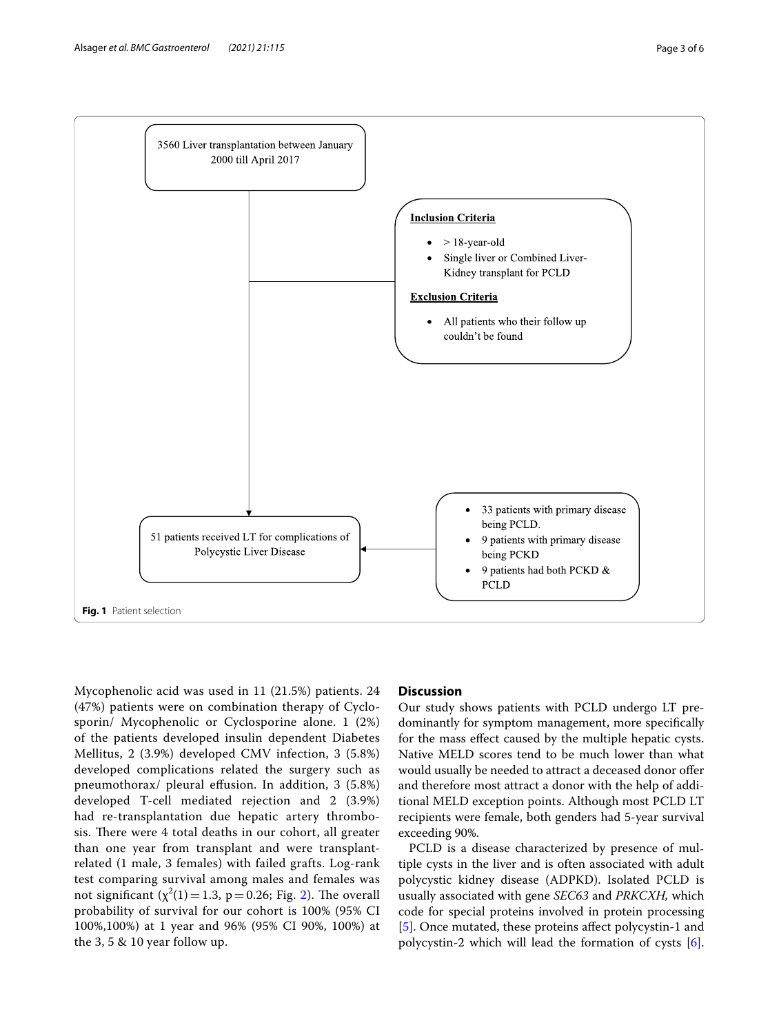

<span id="page-2-0"></span>Mycophenolic acid was used in 11 (21.5%) patients. 24 (47%) patients were on combination therapy of Cyclosporin/ Mycophenolic or Cyclosporine alone. 1 (2%) of the patients developed insulin dependent Diabetes Mellitus, 2 (3.9%) developed CMV infection, 3 (5.8%) developed complications related the surgery such as pneumothorax/ pleural efusion. In addition, 3 (5.8%) developed T-cell mediated rejection and 2 (3.9%) had re-transplantation due hepatic artery thrombosis. There were 4 total deaths in our cohort, all greater than one year from transplant and were transplantrelated (1 male, 3 females) with failed grafts. Log-rank test comparing survival among males and females was not significant  $(\chi^2(1)=1.3, p=0.26;$  Fig. [2\)](#page-3-1). The overall probability of survival for our cohort is 100% (95% CI 100%,100%) at 1 year and 96% (95% CI 90%, 100%) at the 3, 5 & 10 year follow up.

## **Discussion**

Our study shows patients with PCLD undergo LT predominantly for symptom management, more specifcally for the mass efect caused by the multiple hepatic cysts. Native MELD scores tend to be much lower than what would usually be needed to attract a deceased donor offer and therefore most attract a donor with the help of additional MELD exception points. Although most PCLD LT recipients were female, both genders had 5-year survival exceeding 90%.

PCLD is a disease characterized by presence of multiple cysts in the liver and is often associated with adult polycystic kidney disease (ADPKD). Isolated PCLD is usually associated with gene *SEC63* and *PRKCXH,* which code for special proteins involved in protein processing [[5\]](#page-5-3). Once mutated, these proteins affect polycystin-1 and polycystin-2 which will lead the formation of cysts [\[6](#page-5-4)].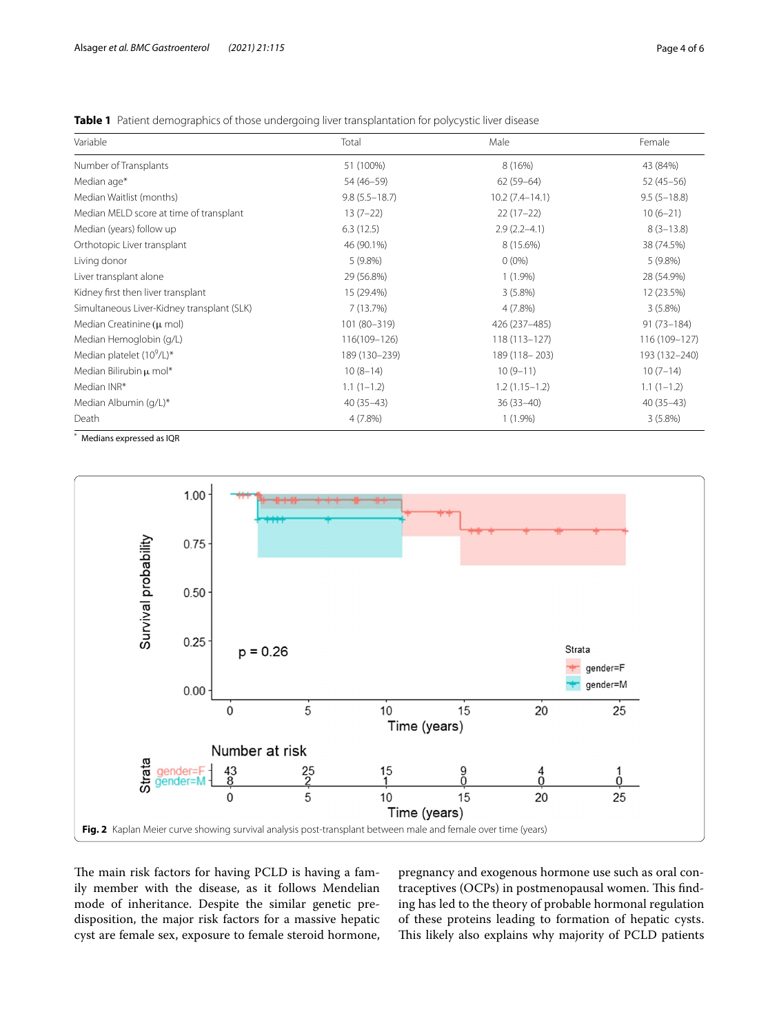| Variable                                   | Total             | Male             | Female         |
|--------------------------------------------|-------------------|------------------|----------------|
| Number of Transplants                      | 51 (100%)         | 8 (16%)          | 43 (84%)       |
| Median age*                                | 54 (46-59)        | $62(59-64)$      | $52(45-56)$    |
| Median Waitlist (months)                   | $9.8(5.5 - 18.7)$ | $10.2(7.4-14.1)$ | $9.5(5-18.8)$  |
| Median MELD score at time of transplant    | $13(7-22)$        | $22(17-22)$      | $10(6-21)$     |
| Median (years) follow up                   | 6.3(12.5)         | $2.9(2.2 - 4.1)$ | $8(3-13.8)$    |
| Orthotopic Liver transplant                | 46 (90.1%)        | 8 (15.6%)        | 38 (74.5%)     |
| Living donor                               | 5(9.8%)           | $0(0\%)$         | $5(9.8\%)$     |
| Liver transplant alone                     | 29 (56.8%)        | $1(1.9\%)$       | 28 (54.9%)     |
| Kidney first then liver transplant         | 15 (29.4%)        | $3(5.8\%)$       | 12 (23.5%)     |
| Simultaneous Liver-Kidney transplant (SLK) | 7 (13.7%)         | 4(7.8%)          | $3(5.8\%)$     |
| Median Creatinine $(\mu \text{ mol})$      | 101 (80-319)      | 426 (237-485)    | $91(73 - 184)$ |
| Median Hemoglobin (g/L)                    | 116(109-126)      | $118(113 - 127)$ | 116 (109-127)  |
| Median platelet $(10^9/L)^*$               | 189 (130-239)     | 189 (118 - 203)  | 193 (132-240)  |
| Median Bilirubin µ mol*                    | $10(8-14)$        | $10(9-11)$       | $10(7-14)$     |
| Median INR*                                | $1.1(1-1.2)$      | $1.2(1.15-1.2)$  | $1.1(1-1.2)$   |
| Median Albumin (g/L)*                      | $40(35-43)$       | $36(33-40)$      | $40(35-43)$    |
| Death                                      | $4(7.8\%)$        | $1(1.9\%)$       | 3(5.8%)        |

<span id="page-3-0"></span>**Table 1** Patient demographics of those undergoing liver transplantation for polycystic liver disease

\* Medians expressed as IQR



<span id="page-3-1"></span>The main risk factors for having PCLD is having a family member with the disease, as it follows Mendelian mode of inheritance. Despite the similar genetic predisposition, the major risk factors for a massive hepatic cyst are female sex, exposure to female steroid hormone, pregnancy and exogenous hormone use such as oral contraceptives (OCPs) in postmenopausal women. This finding has led to the theory of probable hormonal regulation of these proteins leading to formation of hepatic cysts. This likely also explains why majority of PCLD patients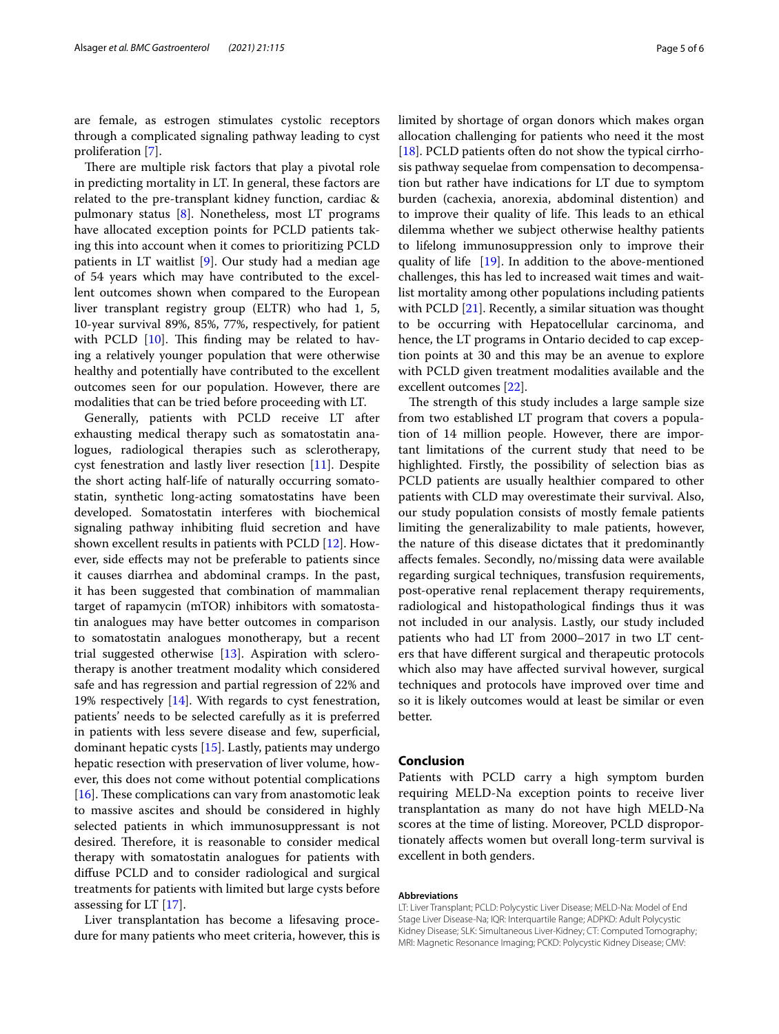are female, as estrogen stimulates cystolic receptors through a complicated signaling pathway leading to cyst proliferation [\[7](#page-5-5)].

There are multiple risk factors that play a pivotal role in predicting mortality in LT. In general, these factors are related to the pre-transplant kidney function, cardiac & pulmonary status [[8\]](#page-5-6). Nonetheless, most LT programs have allocated exception points for PCLD patients taking this into account when it comes to prioritizing PCLD patients in LT waitlist [[9\]](#page-5-7). Our study had a median age of 54 years which may have contributed to the excellent outcomes shown when compared to the European liver transplant registry group (ELTR) who had 1, 5, 10-year survival 89%, 85%, 77%, respectively, for patient with PCLD  $[10]$  $[10]$ . This finding may be related to having a relatively younger population that were otherwise healthy and potentially have contributed to the excellent outcomes seen for our population. However, there are modalities that can be tried before proceeding with LT.

Generally, patients with PCLD receive LT after exhausting medical therapy such as somatostatin analogues, radiological therapies such as sclerotherapy, cyst fenestration and lastly liver resection [\[11](#page-5-9)]. Despite the short acting half-life of naturally occurring somatostatin, synthetic long-acting somatostatins have been developed. Somatostatin interferes with biochemical signaling pathway inhibiting fluid secretion and have shown excellent results in patients with PCLD [[12\]](#page-5-10). However, side efects may not be preferable to patients since it causes diarrhea and abdominal cramps. In the past, it has been suggested that combination of mammalian target of rapamycin (mTOR) inhibitors with somatostatin analogues may have better outcomes in comparison to somatostatin analogues monotherapy, but a recent trial suggested otherwise [\[13](#page-5-11)]. Aspiration with sclerotherapy is another treatment modality which considered safe and has regression and partial regression of 22% and 19% respectively [[14](#page-5-12)]. With regards to cyst fenestration, patients' needs to be selected carefully as it is preferred in patients with less severe disease and few, superfcial, dominant hepatic cysts [[15](#page-5-13)]. Lastly, patients may undergo hepatic resection with preservation of liver volume, however, this does not come without potential complications [[16\]](#page-5-14). These complications can vary from anastomotic leak to massive ascites and should be considered in highly selected patients in which immunosuppressant is not desired. Therefore, it is reasonable to consider medical therapy with somatostatin analogues for patients with difuse PCLD and to consider radiological and surgical treatments for patients with limited but large cysts before assessing for LT [[17\]](#page-5-15).

Liver transplantation has become a lifesaving procedure for many patients who meet criteria, however, this is limited by shortage of organ donors which makes organ allocation challenging for patients who need it the most [[18\]](#page-5-16). PCLD patients often do not show the typical cirrhosis pathway sequelae from compensation to decompensation but rather have indications for LT due to symptom burden (cachexia, anorexia, abdominal distention) and to improve their quality of life. This leads to an ethical dilemma whether we subject otherwise healthy patients to lifelong immunosuppression only to improve their quality of life  $[19]$ . In addition to the above-mentioned challenges, this has led to increased wait times and waitlist mortality among other populations including patients with PCLD [\[21](#page-5-18)]. Recently, a similar situation was thought to be occurring with Hepatocellular carcinoma, and hence, the LT programs in Ontario decided to cap exception points at 30 and this may be an avenue to explore with PCLD given treatment modalities available and the excellent outcomes [\[22](#page-5-19)].

The strength of this study includes a large sample size from two established LT program that covers a population of 14 million people. However, there are important limitations of the current study that need to be highlighted. Firstly, the possibility of selection bias as PCLD patients are usually healthier compared to other patients with CLD may overestimate their survival. Also, our study population consists of mostly female patients limiting the generalizability to male patients, however, the nature of this disease dictates that it predominantly afects females. Secondly, no/missing data were available regarding surgical techniques, transfusion requirements, post-operative renal replacement therapy requirements, radiological and histopathological fndings thus it was not included in our analysis. Lastly, our study included patients who had LT from 2000–2017 in two LT centers that have diferent surgical and therapeutic protocols which also may have afected survival however, surgical techniques and protocols have improved over time and so it is likely outcomes would at least be similar or even better.

#### **Conclusion**

Patients with PCLD carry a high symptom burden requiring MELD-Na exception points to receive liver transplantation as many do not have high MELD-Na scores at the time of listing. Moreover, PCLD disproportionately afects women but overall long-term survival is excellent in both genders.

#### **Abbreviations**

LT: Liver Transplant; PCLD: Polycystic Liver Disease; MELD-Na: Model of End Stage Liver Disease-Na; IQR: Interquartile Range; ADPKD: Adult Polycystic Kidney Disease; SLK: Simultaneous Liver-Kidney; CT: Computed Tomography; MRI: Magnetic Resonance Imaging; PCKD: Polycystic Kidney Disease; CMV: